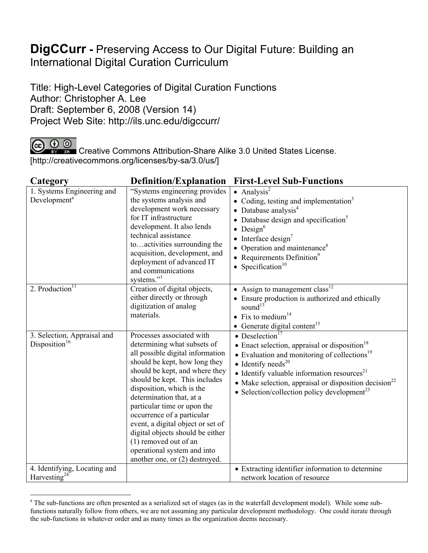## **DigCCurr -** Preserving Access to Our Digital Future: Building an International Digital Curation Curriculum

Title: High-Level Categories of Digital Curation Functions Author: Christopher A. Lee Draft: September 6, 2008 (Version 14) Project Web Site: http://ils.unc.edu/digccurr/

 $\overline{a}$ 

CC **C O**<br>Creative Commons Attribution-Share Alike 3.0 United States License. [http://creativecommons.org/licenses/by-sa/3.0/us/]

| Category                                                 | <b>Definition/Explanation</b>                                                                                                                                                                                                                                                                                                                                                                                                                                                             | <b>First-Level Sub-Functions</b>                                                                                                                                                                                                                                                                                                                                                  |
|----------------------------------------------------------|-------------------------------------------------------------------------------------------------------------------------------------------------------------------------------------------------------------------------------------------------------------------------------------------------------------------------------------------------------------------------------------------------------------------------------------------------------------------------------------------|-----------------------------------------------------------------------------------------------------------------------------------------------------------------------------------------------------------------------------------------------------------------------------------------------------------------------------------------------------------------------------------|
| 1. Systems Engineering and<br>Development <sup>a</sup>   | "Systems engineering provides"<br>the systems analysis and<br>development work necessary<br>for IT infrastructure<br>development. It also lends<br>technical assistance<br>toactivities surrounding the<br>acquisition, development, and<br>deployment of advanced IT<br>and communications<br>systems." <sup>1</sup>                                                                                                                                                                     | • Analysis <sup>2</sup><br>• Coding, testing and implementation <sup>3</sup><br>• Database analysis $4$<br>• Database design and specification <sup>5</sup><br>$\bullet$ Design <sup>6</sup><br>$\bullet$ Interface design <sup>7</sup><br>• Operation and maintenance <sup>8</sup><br>• Requirements Definition $9$<br>• Specification $10$                                      |
| 2. Production $\overline{11}$                            | Creation of digital objects,<br>either directly or through<br>digitization of analog<br>materials.                                                                                                                                                                                                                                                                                                                                                                                        | • Assign to management class <sup>12</sup><br>• Ensure production is authorized and ethically<br>sound $13$<br>• Fix to medium <sup>14</sup><br>$\bullet$ Generate digital content <sup>15</sup>                                                                                                                                                                                  |
| 3. Selection, Appraisal and<br>Disposition <sup>16</sup> | Processes associated with<br>determining what subsets of<br>all possible digital information<br>should be kept, how long they<br>should be kept, and where they<br>should be kept. This includes<br>disposition, which is the<br>determination that, at a<br>particular time or upon the<br>occurrence of a particular<br>event, a digital object or set of<br>digital objects should be either<br>(1) removed out of an<br>operational system and into<br>another one, or (2) destroyed. | • Deselection <sup>17</sup><br>• Enact selection, appraisal or disposition <sup>18</sup><br>• Evaluation and monitoring of collections <sup>19</sup><br>• Identify needs <sup>20</sup><br>• Identify valuable information resources <sup>21</sup><br>• Make selection, appraisal or disposition decision <sup>22</sup><br>• Selection/collection policy development <sup>23</sup> |
| 4. Identifying, Locating and                             |                                                                                                                                                                                                                                                                                                                                                                                                                                                                                           | • Extracting identifier information to determine                                                                                                                                                                                                                                                                                                                                  |
| Harvesting <sup>24</sup>                                 |                                                                                                                                                                                                                                                                                                                                                                                                                                                                                           | network location of resource                                                                                                                                                                                                                                                                                                                                                      |

<sup>&</sup>lt;sup>a</sup> The sub-functions are often presented as a serialized set of stages (as in the waterfall development model). While some subfunctions naturally follow from others, we are not assuming any particular development methodology. One could iterate through the sub-functions in whatever order and as many times as the organization deems necessary.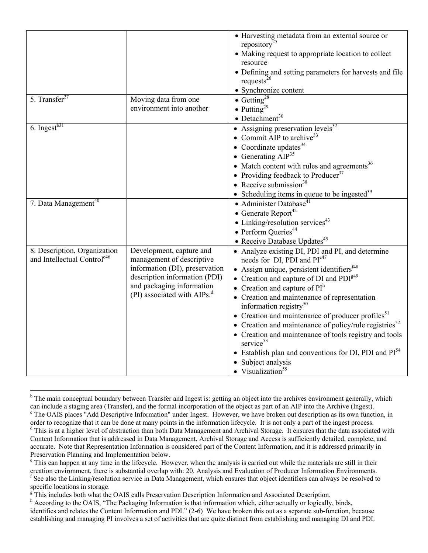| 5. Transfer $27$                                                        | Moving data from one                                                                                                                                                                             | • Harvesting metadata from an external source or<br>repository <sup>25</sup><br>• Making request to appropriate location to collect<br>resource<br>• Defining and setting parameters for harvests and file<br>requests $^{26}$<br>• Synchronize content<br>• Getting <sup>28</sup>                                                                                                                                                                                                                                                                                                                                                           |
|-------------------------------------------------------------------------|--------------------------------------------------------------------------------------------------------------------------------------------------------------------------------------------------|----------------------------------------------------------------------------------------------------------------------------------------------------------------------------------------------------------------------------------------------------------------------------------------------------------------------------------------------------------------------------------------------------------------------------------------------------------------------------------------------------------------------------------------------------------------------------------------------------------------------------------------------|
|                                                                         | environment into another                                                                                                                                                                         | • Putting <sup>29</sup><br>$\bullet$ Detachment <sup>30</sup>                                                                                                                                                                                                                                                                                                                                                                                                                                                                                                                                                                                |
| 6. Ingest $^{b31}$                                                      |                                                                                                                                                                                                  | • Assigning preservation $\overline{levels^{32}}$<br>• Commit AIP to archive <sup>33</sup><br>• Coordinate updates $34$<br>• Generating $AIP^{35}$<br>• Match content with rules and agreements <sup>36</sup><br>• Providing feedback to Producer <sup>37</sup><br>• Receive submission $38$<br>• Scheduling items in queue to be ingested <sup>39</sup>                                                                                                                                                                                                                                                                                     |
| 7. Data Management <sup>40</sup>                                        |                                                                                                                                                                                                  | • Administer Database <sup>41</sup><br>• Generate Report <sup>42</sup><br>• Linking/resolution services $43$<br>• Perform Queries <sup>44</sup><br>• Receive Database Updates <sup>45</sup>                                                                                                                                                                                                                                                                                                                                                                                                                                                  |
| 8. Description, Organization<br>and Intellectual Control <sup>c46</sup> | Development, capture and<br>management of descriptive<br>information (DI), preservation<br>description information (PDI)<br>and packaging information<br>(PI) associated with AIPs. <sup>d</sup> | • Analyze existing DI, PDI and PI, and determine<br>needs for DI, PDI and PI <sup>e47</sup><br>• Assign unique, persistent identifiers $448$<br>• Creation and capture of DI and $PDIg49$<br>• Creation and capture of $PIh$<br>• Creation and maintenance of representation<br>information registry <sup>50</sup><br>• Creation and maintenance of producer profiles $51$<br>• Creation and maintenance of policy/rule registries <sup>52</sup><br>• Creation and maintenance of tools registry and tools<br>service $53$<br>• Establish plan and conventions for DI, PDI and $PI54$<br>• Subject analysis<br>• Visualization <sup>55</sup> |

 $\overline{a}$ <sup>b</sup> The main conceptual boundary between Transfer and Ingest is: getting an object into the archives environment generally, which can include a staging area (Transfer), and the formal incorporation of the object as part of an AIP into the Archive (Ingest). The OAIS places "Add Descriptive Information" under Ingest. However, we have broken out description as its own function, in order to recognize that it can be done at many points in the information lifecycle. It is not only a part of the ingest process. <sup>d</sup> This is at a higher level of abstraction than both Data Management and Archival Storage. It ensures that the data associated with Content Information that is addressed in Data Management, Archival Storage and Access is sufficiently detailed, complete, and accurate. Note that Representation Information is considered part of the Content Information, and it is addressed primarily in Preservation Planning and Implementation below.

<sup>&</sup>lt;sup>e</sup> This can happen at any time in the lifecycle. However, when the analysis is carried out while the materials are still in their creation environment, there is substantial overlap with: 20. Analysis and Evaluation of Producer Information Environments. f  $<sup>f</sup>$  See also the Linking/resolution service in Data Management, which ensures that object identifiers can always be resolved to</sup> specific locations in storage.

 $\mathbb{F}$ This includes both what the OAIS calls Preservation Description Information and Associated Description.

<sup>&</sup>lt;sup>h</sup> According to the OAIS, "The Packaging Information is that information which, either actually or logically, binds, identifies and relates the Content Information and PDI." (2-6) We have broken this out as a separate sub-function, because establishing and managing PI involves a set of activities that are quite distinct from establishing and managing DI and PDI.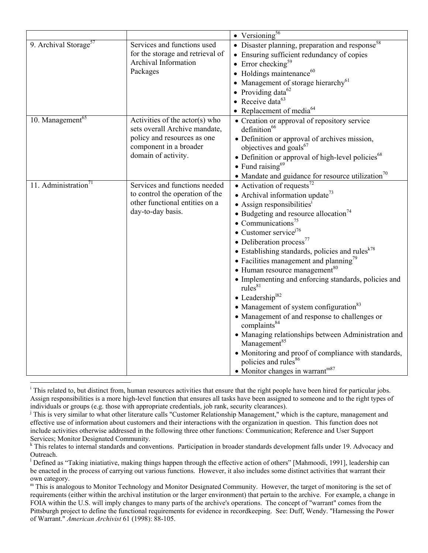|                                   |                                                                                                                                                   | $\bullet$ Versioning <sup>56</sup>                                                                                                                                                                                                                                                                                                                                                                                                                                                                                                                                                                                                                                                                                                                                                                                                                                                                                                                                                                                     |
|-----------------------------------|---------------------------------------------------------------------------------------------------------------------------------------------------|------------------------------------------------------------------------------------------------------------------------------------------------------------------------------------------------------------------------------------------------------------------------------------------------------------------------------------------------------------------------------------------------------------------------------------------------------------------------------------------------------------------------------------------------------------------------------------------------------------------------------------------------------------------------------------------------------------------------------------------------------------------------------------------------------------------------------------------------------------------------------------------------------------------------------------------------------------------------------------------------------------------------|
| 9. Archival Storage <sup>57</sup> | Services and functions used<br>for the storage and retrieval of<br>Archival Information<br>Packages                                               | • Disaster planning, preparation and response <sup>58</sup><br>• Ensuring sufficient redundancy of copies<br>• Error checking <sup>59</sup><br>$\bullet$ Holdings maintenance <sup>60</sup><br>• Management of storage hierarchy $^{61}$<br>• Providing data <sup>62</sup><br>• Receive data $63$<br>• Replacement of media $^{64}$                                                                                                                                                                                                                                                                                                                                                                                                                                                                                                                                                                                                                                                                                    |
| 10. Management $\overline{65}$    | Activities of the $actor(s)$ who<br>sets overall Archive mandate,<br>policy and resources as one<br>component in a broader<br>domain of activity. | • Creation or approval of repository service<br>definition <sup>66</sup><br>• Definition or approval of archives mission,<br>objectives and goals <sup>67</sup><br>• Definition or approval of high-level policies <sup>68</sup><br>$\bullet$ Fund raising <sup>69</sup><br>• Mandate and guidance for resource utilization <sup>70</sup>                                                                                                                                                                                                                                                                                                                                                                                                                                                                                                                                                                                                                                                                              |
| 11. Administration <sup>71</sup>  | Services and functions needed<br>to control the operation of the<br>other functional entities on a<br>day-to-day basis.                           | • Activation of requests <sup>72</sup><br>• Archival information update <sup>73</sup><br>$\bullet$ Assign responsibilities <sup>1</sup><br>$\bullet$ Budgeting and resource allocation <sup>74</sup><br>• Communications <sup>75</sup><br>$\bullet$ Customer service <sup><math>76</math></sup><br>• Deliberation process $^{77}$<br>• Establishing standards, policies and rules <sup>k78</sup><br>• Facilities management and planning <sup>79</sup><br>$\bullet$ Human resource management <sup>80</sup><br>• Implementing and enforcing standards, policies and<br>rule <sub>8</sub> <sup>81</sup><br>$\bullet$ Leadership <sup>182</sup><br>• Management of system configuration <sup>83</sup><br>• Management of and response to challenges or<br>complaints <sup>84</sup><br>• Managing relationships between Administration and<br>Management <sup>85</sup><br>• Monitoring and proof of compliance with standards,<br>policies and rules <sup>86</sup><br>$\bullet$ Monitor changes in warrant <sup>m87</sup> |

 $\overline{a}$ <sup>i</sup> This related to, but distinct from, human resources activities that ensure that the right people have been hired for particular jobs. Assign responsibilities is a more high-level function that ensures all tasks have been assigned to someone and to the right types of individuals or groups (e.g. those with appropriate credentials, job rank, security clearances).

<sup>&</sup>lt;sup>j</sup> This is very similar to what other literature calls "Customer Relationship Management," which is the capture, management and effective use of information about customers and their interactions with the organization in question. This function does not include activities otherwise addressed in the following three other functions: Communication; Reference and User Support

Services; Monitor Designated Community.<br><sup>k</sup> This relates to internal standards and conventions. Participation in broader standards development falls under 19. Advocacy and Outreach.

<sup>&</sup>lt;sup>1</sup> Defined as "Taking iniatiative, making things happen through the effective action of others" [Mahmoodi, 1991], leadership can be enacted in the process of carrying out various functions. However, it also includes some distinct activities that warrant their own category.

 $<sup>m</sup>$  This is analogous to Monitor Technology and Monitor Designated Community. However, the target of monitoring is the set of</sup> requirements (either within the archival institution or the larger environment) that pertain to the archive. For example, a change in FOIA within the U.S. will imply changes to many parts of the archive's operations. The concept of "warrant" comes from the Pittsburgh project to define the functional requirements for evidence in recordkeeping. See: Duff, Wendy. "Harnessing the Power of Warrant." *American Archivist* 61 (1998): 88-105.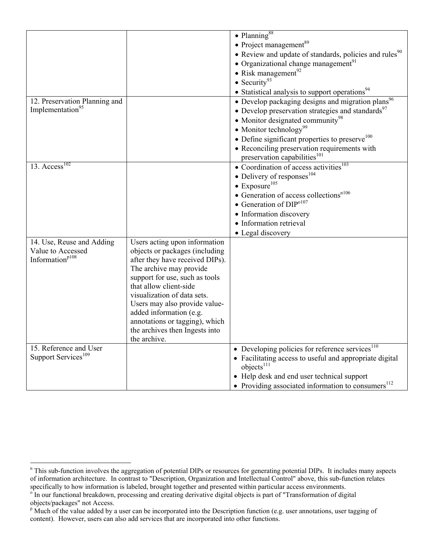|                                 |                                 | $\bullet$ Planning <sup>88</sup>                                   |
|---------------------------------|---------------------------------|--------------------------------------------------------------------|
|                                 |                                 | • Project management <sup>89</sup>                                 |
|                                 |                                 | • Review and update of standards, policies and rules <sup>90</sup> |
|                                 |                                 | • Organizational change management <sup>91</sup>                   |
|                                 |                                 | • Risk management <sup>92</sup>                                    |
|                                 |                                 |                                                                    |
|                                 |                                 | • Security <sup>93</sup>                                           |
|                                 |                                 | • Statistical analysis to support operations <sup>94</sup>         |
| 12. Preservation Planning and   |                                 | • Develop packaging designs and migration plans <sup>96</sup>      |
| Implementation <sup>95</sup>    |                                 | • Develop preservation strategies and standards <sup>97</sup>      |
|                                 |                                 | • Monitor designated community <sup>98</sup>                       |
|                                 |                                 | • Monitor technology <sup>99</sup>                                 |
|                                 |                                 | • Define significant properties to preserve <sup>100</sup>         |
|                                 |                                 | • Reconciling preservation requirements with                       |
|                                 |                                 | preservation capabilities <sup>101</sup>                           |
| 13. Access $^{102}$             |                                 | $\bullet$ Coordination of access activities <sup>103</sup>         |
|                                 |                                 | • Delivery of responses $^{104}$                                   |
|                                 |                                 | $\bullet$ Exposure <sup>105</sup>                                  |
|                                 |                                 | $\bullet$ Generation of access collections <sup>n106</sup>         |
|                                 |                                 | • Generation of $DIP0107$                                          |
|                                 |                                 | · Information discovery                                            |
|                                 |                                 | • Information retrieval                                            |
|                                 |                                 | • Legal discovery                                                  |
| 14. Use, Reuse and Adding       | Users acting upon information   |                                                                    |
| Value to Accessed               | objects or packages (including  |                                                                    |
| Information <sup>p108</sup>     | after they have received DIPs). |                                                                    |
|                                 | The archive may provide         |                                                                    |
|                                 | support for use, such as tools  |                                                                    |
|                                 | that allow client-side          |                                                                    |
|                                 | visualization of data sets.     |                                                                    |
|                                 | Users may also provide value-   |                                                                    |
|                                 | added information (e.g.         |                                                                    |
|                                 | annotations or tagging), which  |                                                                    |
|                                 | the archives then Ingests into  |                                                                    |
|                                 | the archive.                    |                                                                    |
| 15. Reference and User          |                                 | • Developing policies for reference services <sup>110</sup>        |
| Support Services <sup>109</sup> |                                 | • Facilitating access to useful and appropriate digital            |
|                                 |                                 | objects <sup>111</sup>                                             |
|                                 |                                 | • Help desk and end user technical support                         |
|                                 |                                 | • Providing associated information to consumers $^{112}$           |

 $\overline{a}$ 

<sup>&</sup>lt;sup>n</sup> This sub-function involves the aggregation of potential DIPs or resources for generating potential DIPs. It includes many aspects of information architecture. In contrast to "Description, Organization and Intellectual Control" above, this sub-function relates specifically to how information is labeled, brought together and presented within particular access environments.

<sup>&</sup>lt;sup>o</sup> In our functional breakdown, processing and creating derivative digital objects is part of "Transformation of digital objects/packages" not Access.

<sup>&</sup>lt;sup>p</sup> Much of the value added by a user can be incorporated into the Description function (e.g. user annotations, user tagging of content). However, users can also add services that are incorporated into other functions.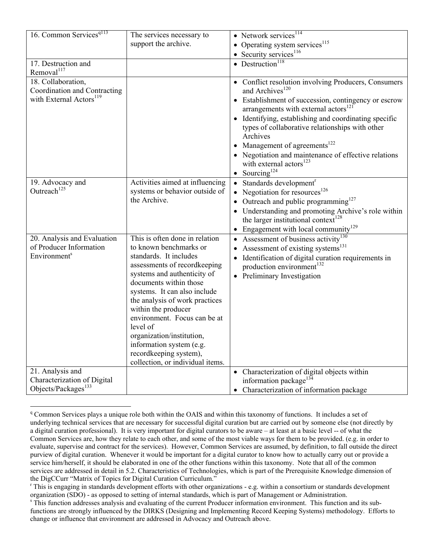| 16. Common Services <sup>q113</sup>                                                       | The services necessary to                                                                                                                                                                                                                                                                                                                                                                                                               | • Network services <sup>114</sup>                                                                                                                                                                                                                                                                                                                                                                                                                                                          |
|-------------------------------------------------------------------------------------------|-----------------------------------------------------------------------------------------------------------------------------------------------------------------------------------------------------------------------------------------------------------------------------------------------------------------------------------------------------------------------------------------------------------------------------------------|--------------------------------------------------------------------------------------------------------------------------------------------------------------------------------------------------------------------------------------------------------------------------------------------------------------------------------------------------------------------------------------------------------------------------------------------------------------------------------------------|
|                                                                                           | support the archive.                                                                                                                                                                                                                                                                                                                                                                                                                    | • Operating system services $^{115}$                                                                                                                                                                                                                                                                                                                                                                                                                                                       |
|                                                                                           |                                                                                                                                                                                                                                                                                                                                                                                                                                         | • Security services $116$                                                                                                                                                                                                                                                                                                                                                                                                                                                                  |
| 17. Destruction and<br>Removal <sup>117</sup>                                             |                                                                                                                                                                                                                                                                                                                                                                                                                                         | • Destruction <sup>118</sup>                                                                                                                                                                                                                                                                                                                                                                                                                                                               |
| 18. Collaboration,<br>Coordination and Contracting<br>with External Actors <sup>119</sup> |                                                                                                                                                                                                                                                                                                                                                                                                                                         | • Conflict resolution involving Producers, Consumers<br>and Archives <sup>120</sup><br>• Establishment of succession, contingency or escrow<br>arrangements with external actors <sup>121</sup><br>• Identifying, establishing and coordinating specific<br>types of collaborative relationships with other<br>Archives<br>• Management of agreements $^{122}$<br>• Negotiation and maintenance of effective relations<br>with external actors <sup>123</sup><br>• Sourcing <sup>124</sup> |
| 19. Advocacy and<br>Outreach <sup>125</sup>                                               | Activities aimed at influencing<br>systems or behavior outside of<br>the Archive.                                                                                                                                                                                                                                                                                                                                                       | Standards development <sup>r</sup><br>$\bullet$<br>• Negotiation for resources $^{126}$<br>Outreach and public programming $127$<br>$\bullet$<br>• Understanding and promoting Archive's role within<br>the larger institutional context <sup>128</sup><br>Engagement with local community <sup>129</sup>                                                                                                                                                                                  |
| 20. Analysis and Evaluation<br>of Producer Information<br>Environment <sup>s</sup>        | This is often done in relation<br>to known benchmarks or<br>standards. It includes<br>assessments of recordkeeping<br>systems and authenticity of<br>documents within those<br>systems. It can also include<br>the analysis of work practices<br>within the producer<br>environment. Focus can be at<br>level of<br>organization/institution,<br>information system (e.g.<br>recordkeeping system),<br>collection, or individual items. | Assessment of business $\overline{\text{activity}}^{130}$<br>Assessment of existing systems <sup>131</sup><br>$\bullet$<br>Identification of digital curation requirements in<br>production environment <sup>132</sup><br>• Preliminary Investigation                                                                                                                                                                                                                                      |
| 21. Analysis and<br>Characterization of Digital<br>Objects/Packages <sup>133</sup>        |                                                                                                                                                                                                                                                                                                                                                                                                                                         | • Characterization of digital objects within<br>information package <sup>132</sup><br>Characterization of information package                                                                                                                                                                                                                                                                                                                                                              |

<sup>&</sup>lt;sup>q</sup> Common Services plays a unique role both within the OAIS and within this taxonomy of functions. It includes a set of underlying technical services that are necessary for successful digital curation but are carried out by someone else (not directly by a digital curation professional). It is very important for digital curators to be aware – at least at a basic level -- of what the Common Services are, how they relate to each other, and some of the most viable ways for them to be provided. (e.g. in order to evaluate, supervise and contract for the services). However, Common Services are assumed, by definition, to fall outside the direct purview of digital curation. Whenever it would be important for a digital curator to know how to actually carry out or provide a service him/herself, it should be elaborated in one of the other functions within this taxonomy. Note that all of the common services are addressed in detail in 5.2. Characteristics of Technologies, which is part of the Prerequisite Knowledge dimension of the DigCCurr "Matrix of Topics for Digital Curation Curriculum."

 $\overline{a}$ 

<sup>&</sup>lt;sup>r</sup> This is engaging in standards development efforts with other organizations - e.g. within a consortium or standards development organization (SDO) - as opposed to setting of internal standards, which is part of Management or Administration.

This function addresses analysis and evaluating of the current Producer information environment. This function and its subfunctions are strongly influenced by the DIRKS (Designing and Implementing Record Keeping Systems) methodology. Efforts to change or influence that environment are addressed in Advocacy and Outreach above.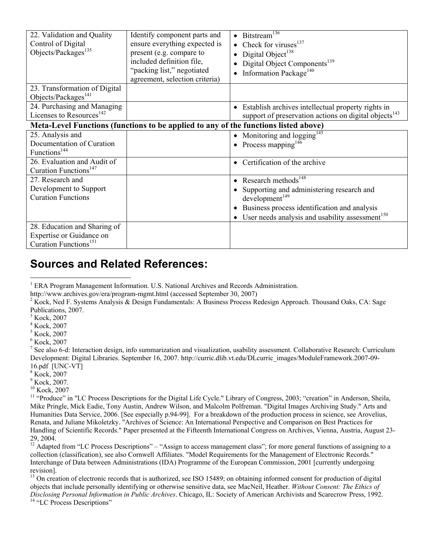| 22. Validation and Quality                                                          | Identify component parts and   | • Bitstream <sup>136</sup>                                        |
|-------------------------------------------------------------------------------------|--------------------------------|-------------------------------------------------------------------|
| Control of Digital                                                                  | ensure everything expected is  | • Check for viruses $137$                                         |
| Objects/Packages <sup>135</sup>                                                     | present (e.g. compare to       | Digital Object <sup>138</sup>                                     |
|                                                                                     | included definition file,      | Digital Object Components <sup>139</sup>                          |
|                                                                                     | "packing list," negotiated     | Information Package <sup>140</sup>                                |
|                                                                                     | agreement, selection criteria) |                                                                   |
| 23. Transformation of Digital                                                       |                                |                                                                   |
| Objects/Packages <sup>141</sup>                                                     |                                |                                                                   |
| 24. Purchasing and Managing                                                         |                                | • Establish archives intellectual property rights in              |
| Licenses to Resources <sup>142</sup>                                                |                                | support of preservation actions on digital objects <sup>143</sup> |
| Meta-Level Functions (functions to be applied to any of the functions listed above) |                                |                                                                   |
| 25. Analysis and                                                                    |                                | • Monitoring and $logging145$                                     |
| Documentation of Curation                                                           |                                | • Process mapping <sup>146</sup>                                  |
| Functions <sup>144</sup>                                                            |                                |                                                                   |
| 26. Evaluation and Audit of                                                         |                                | Certification of the archive                                      |
| Curation Functions <sup>147</sup>                                                   |                                |                                                                   |
| 27. Research and                                                                    |                                | • Research methods $^{148}$                                       |
| Development to Support                                                              |                                | Supporting and administering research and                         |
| <b>Curation Functions</b>                                                           |                                | development <sup>149</sup>                                        |
|                                                                                     |                                | Business process identification and analysis                      |
|                                                                                     |                                | User needs analysis and usability assessment <sup>150</sup>       |
| 28. Education and Sharing of                                                        |                                |                                                                   |
| Expertise or Guidance on                                                            |                                |                                                                   |
| Curation Functions <sup>151</sup>                                                   |                                |                                                                   |

## **Sources and Related References:**

 $\overline{a}$ 

10 Kock, 2007

<sup>&</sup>lt;sup>1</sup> ERA Program Management Information. U.S. National Archives and Records Administration.

http://www.archives.gov/era/program-mgmt.html (accessed September 30, 2007)

<sup>&</sup>lt;sup>2</sup> Kock, Ned F. Systems Analysis & Design Fundamentals: A Business Process Redesign Approach. Thousand Oaks, CA: Sage Publications, 2007.

<sup>&</sup>lt;sup>3</sup> Kock, 2007

<sup>4</sup> Kock, 2007

<sup>5</sup> Kock, 2007

<sup>6</sup> Kock, 2007

<sup>&</sup>lt;sup>7</sup> See also 6-d: Interaction design, info summarization and visualization, usability assessment. Collaborative Research: Curriculum Development: Digital Libraries. September 16, 2007. http://curric.dlib.vt.edu/DLcurric\_images/ModuleFramework.2007-09- 16.pdf [UNC-VT]

<sup>8</sup> Kock, 2007

<sup>&</sup>lt;sup>9</sup> Kock, 2007.

<sup>&</sup>lt;sup>11</sup> "Produce" in "LC Process Descriptions for the Digital Life Cycle." Library of Congress, 2003; "creation" in Anderson, Sheila, Mike Pringle, Mick Eadie, Tony Austin, Andrew Wilson, and Malcolm Polfreman. "Digital Images Archiving Study." Arts and Humanities Data Service, 2006. [See especially p.94-99]. For a breakdown of the production process in science, see Arovelius, Renata, and Juliane Mikoletzky. "Archives of Science: An International Perspective and Comparison on Best Practices for Handling of Scientific Records." Paper presented at the Fifteenth International Congress on Archives, Vienna, Austria, August 23- 29, 2004.

 $12$  Adapted from "LC Process Descriptions" – "Assign to access management class"; for more general functions of assigning to a collection (classification), see also Cornwell Affiliates. "Model Requirements for the Management of Electronic Records." Interchange of Data between Administrations (IDA) Programme of the European Commission, 2001 [currently undergoing revision].

<sup>&</sup>lt;sup>13</sup> On creation of electronic records that is authorized, see ISO 15489; on obtaining informed consent for production of digital objects that include personally identifying or otherwise sensitive data, see MacNeil, Heather. *Without Consent: The Ethics of Disclosing Personal Information in Public Archives*. Chicago, IL: Society of American Archivists and Scarecrow Press, 1992. 14 "LC Process Descriptions"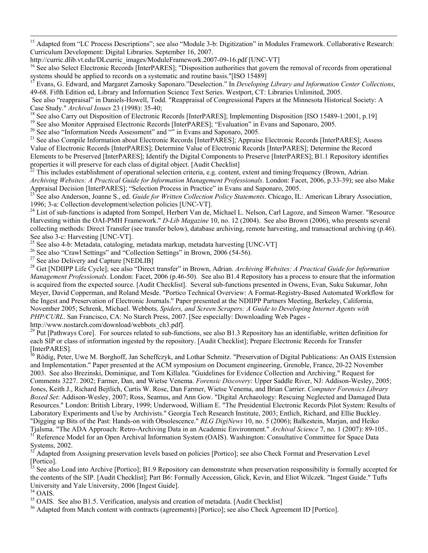<sup>15</sup> Adapted from "LC Process Descriptions"; see also "Module 3-b: Digitization" in Modules Framework. Collaborative Research: Curriculum Development: Digital Libraries. September 16, 2007.

<sup>16</sup> See also Select Electronic Records [InterPARES]; "Disposition authorities that govern the removal of records from operational systems should be applied to records on a systematic and routine basis."[ISO 15489]

Evans, G. Edward, and Margaret Zarnosky Saponaro."Deselection." In *Developing Library and Information Center Collections*, 49-68. Fifth Edition ed, Library and Information Science Text Series. Westport, CT: Libraries Unlimited, 2005.

See also "reappraisal" in Daniels-Howell, Todd. "Reappraisal of Congressional Papers at the Minnesota Historical Society: A Case Study." Archival Issues 23 (1998): 35-40;

<sup>18</sup> See also Carry out Disposition of Electronic Records [InterPARES]; Implementing Disposition [ISO 15489-1:2001, p.19]<br><sup>19</sup> See also Monitor Appraised Electronic Records [InterPARES]; "Evaluation" in Evans and Saponaro Value of Electronic Records [InterPARES]; Determine Value of Electronic Records [InterPARES]; Determine the Record Elements to be Preserved [InterPARES]; Identify the Digital Components to Preserve [InterPARES]; B1.1 Repository identifies properties it will preserve for each class of digital object. [Audit Checklist]<br><sup>22</sup> This includes establishment of operational selection criteria, e.g. content, extent and timing/frequency (Brown, Adrian.

*Archiving Websites: A Practical Guide for Information Management Professionals*. London: Facet, 2006, p.33-39); see also Make Appraisal Decision [InterPARES]; "Selection Process in Practice" in Evans and Saponaro, 2005.

<sup>23</sup> See also Anderson, Joanne S., ed. Guide for Written Collection Policy Statements. Chicago, IL: American Library Association, 1996; 3-a: Collection development/selection policies [UNC-VT].

<sup>24</sup> List of sub-functions is adapted from Sompel, Herbert Van de, Michael L. Nelson, Carl Lagoze, and Simeon Warner. "Resource Harvesting within the OAI-PMH Framework." *D-Lib Magazine* 10, no. 12 (2004). See also Brown (2006), who presents several collecting methods: Direct Transfer (see transfer below), database archiving, remote harvesting, and transactional archiving (p.46). See also 3-c: Harvesting [UNC-VT].

<sup>25</sup> See also 4-b: Metadata, cataloging, metadata markup, metadata harvesting [UNC-VT]

<sup>26</sup> See also "Crawl Settings" and "Collection Settings" in Brown, 2006 (54-56).

 $27$  See also Delivery and Capture [NEDLIB]

28 Get [NDIIPP Life Cycle]; see also "Direct transfer" in Brown, Adrian. *Archiving Websites: A Practical Guide for Information Management Professionals*. London: Facet, 2006 (p.46-50). See also B1.4 Repository has a process to ensure that the information is acquired from the expected source. [Audit Checklist]. Several sub-functions presented in Owens, Evan, Suku Sukumar, John Meyer, David Copperman, and Roland Mesde. "Portico Technical Overview: A Format-Registry-Based Automated Workflow for the Ingest and Preservation of Electronic Journals." Paper presented at the NDIIPP Partners Meeting, Berkeley, California, November 2005; Schrenk, Michael. Webbots*, Spiders, and Screen Scrapers: A Guide to Developing Internet Agents with PHP/CURL*. San Francisco, CA: No Starch Press, 2007. [See especially: Downloading Web Pages -

http://www.nostarch.com/download/webbots\_ch3.pdf].

 $29$  Put [Pathways Core]. For sources related to sub-functions, see also B1.3 Repository has an identifiable, written definition for each SIP or class of information ingested by the repository. [Audit Checklist]; Prepare Electronic Records for Transfer [InterPARES].

<sup>30</sup> Rödig, Peter, Uwe M. Borghoff, Jan Scheffczyk, and Lothar Schmitz. "Preservation of Digital Publications: An OAIS Extension and Implementation." Paper presented at the ACM symposium on Document engineering, Grenoble, France, 20-22 November 2003. See also Brezinski, Dominique, and Tom Killalea. "Guidelines for Evidence Collection and Archiving." Request for Comments 3227. 2002; Farmer, Dan, and Wietse Venema. *Forensic Discovery*: Upper Saddle River, NJ: Addison-Wesley, 2005; Jones, Keith J., Richard Bejtlich, Curtis W. Rose, Dan Farmer, Wietse Venema, and Brian Carrier. *Computer Forensics Library Boxed Set*: Addison-Wesley, 2007; Ross, Seamus, and Ann Gow. "Digital Archaeology: Rescuing Neglected and Damaged Data Resources." London: British Library, 1999; Underwood, William E. "The Presidential Electronic Records Pilot System: Results of Laboratory Experiments and Use by Archivists." Georgia Tech Research Institute, 2003; Entlich, Richard, and Ellie Buckley. "Digging up Bits of the Past: Hands-on with Obsolescence." *RLG DigiNews* 10, no. 5 (2006); Balkestein, Marjan, and Heiko Tjalsma. "The ADA Approach: Retro-Archiving Data in an Academic Environment." Archival Science 7, no. 1 (2007): 89-105.. 3<sup>1</sup> Reference Model for an Open Archival Information System (OAIS). Washington: Consultative Committ Systems, 2002.

<sup>32</sup> Adapted from Assigning preservation levels based on policies [Portico]; see also Check Format and Preservation Level  $[Portico]$ .<br> $\frac{33}{3}$ 

See also Load into Archive [Portico]; B1.9 Repository can demonstrate when preservation responsibility is formally accepted for the contents of the SIP. [Audit Checklist]; Part B6: Formally Accession, Glick, Kevin, and Eliot Wilczek. "Ingest Guide." Tufts University and Yale University, 2006 [Ingest Guide].

<sup>34</sup> OAIS.<br><sup>35</sup> OAIS. See also B1.5. Verification, analysis and creation of metadata. [Audit Checklist]

 $36$  Adapted from Match content with contracts (agreements) [Portico]; see also Check Agreement ID [Portico].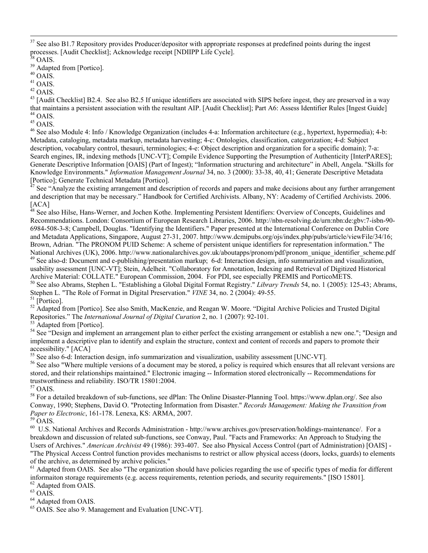<sup>37</sup> See also B1.7 Repository provides Producer/depositor with appropriate responses at predefined points during the ingest processes. [Audit Checklist]; Acknowledge receipt [NDIIPP Life Cycle].

<sup>39</sup> Adapted from [Portico].

 $^{40}$  OAIS.

 $^{41}$  OAIS.

 $^{42}$  OAIS.

 $43$  [Audit Checklist] B2.4. See also B2.5 If unique identifiers are associated with SIPS before ingest, they are preserved in a way that maintains a persistent association with the resultant AIP. [Audit Checklist]; Part A6: Assess Identifier Rules [Ingest Guide] 44 OAIS.

 $^{45}$  OAIS.

<sup>46</sup> See also Module 4: Info / Knowledge Organization (includes 4-a: Information architecture (e.g., hypertext, hypermedia); 4-b: Metadata, cataloging, metadata markup, metadata harvesting; 4-c: Ontologies, classification, categorization; 4-d: Subject description, vocabulary control, thesauri, terminologies; 4-e: Object description and organization for a specific domain); 7-a: Search engines, IR, indexing methods [UNC-VT]; Compile Evidence Supporting the Presumption of Authenticity [InterPARES]; Generate Descriptive Information [OAIS] (Part of Ingest); "Information structuring and architecture" in Abell, Angela. "Skills for Knowledge Environments." *Information Management Journal* 34, no. 3 (2000): 33-38, 40, 41; Generate Descriptive Metadata [Portico]; Generate Technical Metadata [Portico].

See "Analyze the existing arrangement and description of records and papers and make decisions about any further arrangement and description that may be necessary." Handbook for Certified Archivists. Albany, NY: Academy of Certified Archivists. 2006. [ACA]

<sup>48</sup> See also Hilse, Hans-Werner, and Jochen Kothe. Implementing Persistent Identifiers: Overview of Concepts, Guidelines and Recommendations. London: Consortium of European Research Libraries, 2006. http://nbn-resolving.de/urn:nbn:de:gbv:7-isbn-90- 6984-508-3-8; Campbell, Douglas. "Identifying the Identifiers." Paper presented at the International Conference on Dublin Core and Metadata Applications, Singapore, August 27-31, 2007. http://www.dcmipubs.org/ojs/index.php/pubs/article/viewFile/34/16; Brown, Adrian. "The PRONOM PUID Scheme: A scheme of persistent unique identifiers for representation information." The National Archives (UK), 2006. http://www.nationalarchives.gov.uk/aboutapps/pronom/pdf/pronom\_unique\_identifier\_scheme.pdf 49 See also-d: Document and e-publishing/presentation markup; 6-d: Interaction design, info summariz usability assessment [UNC-VT]; Stein, Adelheit. "Collaboratory for Annotation, Indexing and Retrieval of Digitized Historical Archive Material: COLLATE." European Commission, 2004. For PDI, see especially PREMIS and PorticoMETS.<br><sup>50</sup> See also Abrams, Stephen L. "Establishing a Global Digital Format Registry." Library Trends 54, no. 1 (2005): 125-

Stephen L. "The Role of Format in Digital Preservation." *VINE* 34, no. 2 (2004): 49-55.<br><sup>51</sup> [Portico].

<sup>52</sup> Adapted from [Portico]. See also Smith, MacKenzie, and Reagan W. Moore. "Digital Archive Policies and Trusted Digital Repositories." The *International Journal of Digital Curation* 2, no. 1 (2007): 92-101. 53 Adapted from [Portico].

<sup>54</sup> See "Design and implement an arrangement plan to either perfect the existing arrangement or establish a new one."; "Design and implement a descriptive plan to identify and explain the structure, context and content of records and papers to promote their accessibility." [ACA]<br><sup>55</sup> See also 6-d: Interaction design, info summarization and visualization, usability assessment [UNC-VT].

<sup>56</sup> See also "Where multiple versions of a document may be stored, a policy is required which ensures that all relevant versions are stored, and their relationships maintained." Electronic imaging -- Information stored electronically -- Recommendations for trustworthiness and reliability. ISO/TR 15801:2004.

 $^{57}$  OAIS.

58 For a detailed breakdown of sub-functions, see dPlan: The Online Disaster-Planning Tool. https://www.dplan.org/. See also Conway, 1990; Stephens, David O. "Protecting Information from Disaster." *Records Management: Making the Transition from Paper to Electronic*, 161-178. Lenexa, KS: ARMA, 2007. <sup>59</sup> OAIS.

 $60$  U.S. National Archives and Records Administration - http://www.archives.gov/preservation/holdings-maintenance/. For a breakdown and discussion of related sub-functions, see Conway, Paul. "Facts and Frameworks: An Approach to Studying the Users of Archives." *American Archivist* 49 (1986): 393-407. See also Physical Access Control (part of Administration) [OAIS] - "The Physical Access Control function provides mechanisms to restrict or allow physical access (doors, locks, guards) to elements

of the archive, as determined by archive policies."

 $<sup>61</sup>$  Adapted from OAIS. See also "The organization should have policies regarding the use of specific types of media for different</sup> informaiton storage requirements (e.g. access requirements, retention periods, and security requirements." [ISO 15801]. 62 Adapted from OAIS.

 $^{63}$  OAIS.

64 Adapted from OAIS.

65 OAIS. See also 9. Management and Evaluation [UNC-VT].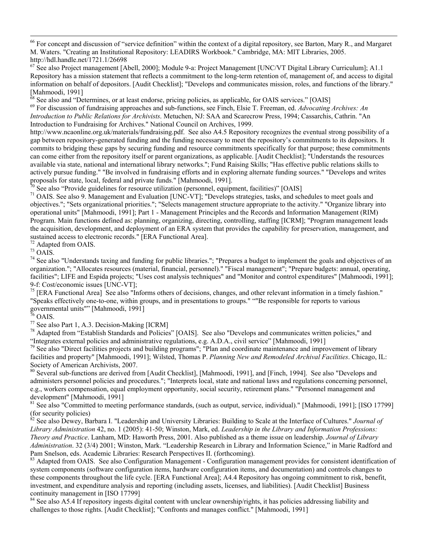$^{66}$  For concept and discussion of "service definition" within the context of a digital repository, see Barton, Mary R., and Margaret M. Waters. "Creating an Institutional Repository: LEADIRS Workbook." Cambridge, MA: MIT Libraries, 2005. http://hdl.handle.net/1721.1/26698

 $67$  See also Project management [Abell, 2000]; Module 9-a: Project Management [UNC/VT Digital Library Curriculum]; A1.1 Repository has a mission statement that reflects a commitment to the long-term retention of, management of, and access to digital information on behalf of depositors. [Audit Checklist]; "Develops and communicates mission, roles, and functions of the library." [Mahmoodi, 1991]<br><sup>68</sup> See also and "Determines, or at least endorse, pricing policies, as applicable, for OAIS services." [OAIS]

 $^{69}$  For discussion of fundraising approaches and sub-functions, see Finch, Elsie T. Freeman, ed. Advocating Archives: An *Introduction to Public Relations for Archivists*. Metuchen, NJ: SAA and Scarecrow Press, 1994; Cassarchis, Cathrin. "An Introduction to Fundraising for Archives." National Council on Archives, 1999.

http://www.ncaonline.org.uk/materials/fundraising.pdf. See also A4.5 Repository recognizes the eventual strong possibility of a gap between repository-generated funding and the funding necessary to meet the repository's commitments to its depositors. It commits to bridging these gaps by securing funding and resource commitments specifically for that purpose; these commitments can come either from the repository itself or parent organizations, as applicable. [Audit Checklist]; "Understands the resources available via state, national and international library networks."; Fund Raising Skills; "Has effective public relations skills to actively pursue funding." "Be involved in fundraising efforts and in exploring alternate funding sources." "Develops and writes proposals for state, local, federal and private funds." [Mahmoodi, 1991].<br><sup>70</sup> See also "Provide guidelines for resource utilization (personnel, equipment, facilities)" [OAIS]<br><sup>71</sup> OAIS. See also 9. Management and Evaluat

objectives."; "Sets organizational priorities."; "Selects management structure appropriate to the activity." "Organize library into operational units" [Mahmoodi, 1991]; Part 1 - Management Principles and the Records and Information Management (RIM) Program. Main functions defined as: planning, organizing, directing, controlling, staffing [ICRM]; "Program management leads the acquisition, development, and deployment of an ERA system that provides the capability for preservation, management, and sustained access to electronic records." [ERA Functional Area]. <sup>72</sup> Adapted from OAIS.

 $73$  OAIS.

<sup>74</sup> See also "Understands taxing and funding for public libraries."; "Prepares a budget to implement the goals and objectives of an organization."; "Allocates resources (material, financial, personnel)." "Fiscal management"; "Prepare budgets: annual, operating, facilities"; LIFE and Espida projects; "Uses cost analysis techniques" and "Monitor and control expenditures" [Mahmoodi, 1991]; 9-f: Cost/economic issues [UNC-VT];

 $<sup>75</sup>$  [ERA Functional Area] See also "Informs others of decisions, changes, and other relevant information in a timely fashion."</sup> "Speaks effectively one-to-one, within groups, and in presentations to groups." ""Be responsible for reports to various governmental units"" [Mahmoodi, 1991]

 $76$  OAIS.

77 See also Part 1, A.3. Decision-Making [ICRM]

<sup>78</sup> Adapted from "Establish Standards and Policies" [OAIS]. See also "Develops and communicates written policies," and

"Integrates external policies and administrative regulations, e.g. A.D.A., civil service" [Mahmoodi, 1991]<br><sup>79</sup> See also "Direct facilities projects and building programs"; "Plan and coordinate maintenance and improvement facilities and property" [Mahmoodi, 1991]; Wilsted, Thomas P. *Planning New and Remodeled Archival Facilities*. Chicago, IL:

Society of American Archivists, 2007.<br><sup>80</sup> Several sub-functions are derived from [Audit Checklist], [Mahmoodi, 1991], and [Finch, 1994]. See also "Develops and administers personnel policies and procedures."; "Interprets local, state and national laws and regulations concerning personnel, e.g., workers compensation, equal employment opportunity, social security, retirement plans." "Personnel management and development" [Mahmoodi, 1991]

<sup>81</sup> See also "Committed to meeting performance standards, (such as output, service, individual)." [Mahmoodi, 1991]; [ISO 17799] (for security policies)

82 See also Dewey, Barbara I. "Leadership and University Libraries: Building to Scale at the Interface of Cultures." *Journal of Library Administration* 42, no. 1 (2005): 41-50; Winston, Mark, ed. *Leadership in the Library and Information Professions: Theory and Practice*. Lanham, MD: Haworth Press, 2001. Also published as a theme issue on leadership. *Journal of Library Administration*. 32 (3/4) 2001; Winston, Mark. "Leadership Research in Library and Information Science," in Marie Radford and Pam Snelson, eds. Academic Libraries: Research Perspectives II. (forthcoming).

<sup>83</sup> Adapted from OAIS. See also Configuration Management - Configuration management provides for consistent identification of system components (software configuration items, hardware configuration items, and documentation) and controls changes to these components throughout the life cycle. [ERA Functional Area]; A4.4 Repository has ongoing commitment to risk, benefit, investment, and expenditure analysis and reporting (including assets, licenses, and liabilities). [Audit Checklist] Business continuity management in [ISO 17799]

<sup>84</sup> See also A5.4 If repository ingests digital content with unclear ownership/rights, it has policies addressing liability and challenges to those rights. [Audit Checklist]; "Confronts and manages conflict." [Mahmoodi, 1991]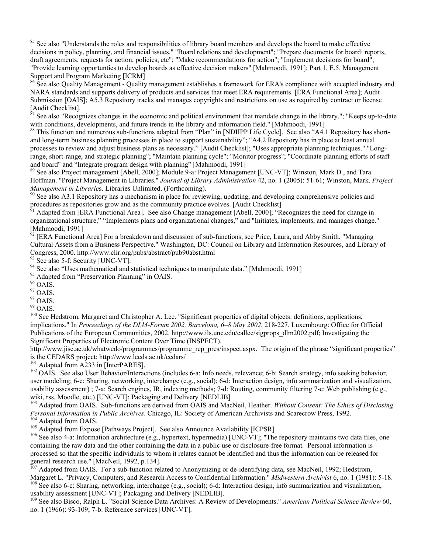<sup>85</sup> See also "Understands the roles and responsibilities of library board members and develops the board to make effective decisions in policy, planning, and financial issues." "Board relations and development"; "Prepare documents for board: reports, draft agreements, requests for action, policies, etc"; "Make recommendations for action"; "Implement decisions for board"; "Provide learning opportunties to develop boards as effective decision makers" [Mahmoodi, 1991]; Part 1, E.5. Management Support and Program Marketing [ICRM]

<sup>86</sup> See also Quality Management - Quality management establishes a framework for ERA's compliance with accepted industry and NARA standards and supports delivery of products and services that meet ERA requirements. [ERA Functional Area]; Audit Submission [OAIS]; A5.3 Repository tracks and manages copyrights and restrictions on use as required by contract or license  $[Addit$  Checklist].

See also "Recognizes changes in the economic and political environment that mandate change in the library."; "Keeps up-to-date with conditions, developments, and future trends in the library and information field." [Mahmoodi, 1991]

<sup>88</sup> This function and numerous sub-functions adapted from "Plan" in [NDIIPP Life Cycle]. See also "A4.1 Repository has shortand long-term business planning processes in place to support sustainability"; "A4.2 Repository has in place at least annual processes to review and adjust business plans as necessary." [Audit Checklist]; "Uses appropriate planning techniques." "Longrange, short-range, and strategic planning"; "Maintain planning cycle"; "Monitor progress"; "Coordinate planning efforts of staff and board" and "Integrate program design with planning" [Mahmoodi, 1991]

89 See also Project management [Abell, 2000]; Module 9-a: Project Management [UNC-VT]; Winston, Mark D., and Tara Hoffman. "Project Management in Libraries." *Journal of Library Administration* 42, no. 1 (2005): 51-61; Winston, Mark. *Project Management in Libraries.* Libraries Unlimited. (Forthcoming).<br><sup>90</sup> See also A3.1 Repository has a mechanism in place for reviewing, updating, and developing comprehensive policies and

procedures as repositories grow and as the community practice evolves. [Audit Checklist]<br><sup>91</sup> Adapted from [ERA Functional Area]. See also Change management [Abell, 2000]; "Recognizes the need for change in

organizational structure," "Implements plans and organizational changes," and "Initiates, implements, and manages change."  $\left[\text{Mahmoodi}, 1991\right]$ <sup>92</sup>

[ERA Functional Area] For a breakdown and discussion of sub-functions, see Price, Laura, and Abby Smith. "Managing Cultural Assets from a Business Perspective." Washington, DC: Council on Library and Information Resources, and Library of Congress, 2000. http://www.clir.org/pubs/abstract/pub90abst.html 93 See also 5-f: Security [UNC-VT].

<sup>94</sup> See also "Uses mathematical and statistical techniques to manipulate data." [Mahmoodi, 1991]

<sup>95</sup> Adapted from "Preservation Planning" in OAIS.

 $^{96}$  OAIS.

 $^{97}$  OAIS.

98 OAIS.

 $^{99}$  OAIS.

<sup>100</sup> See Hedstrom, Margaret and Christopher A. Lee. "Significant properties of digital objects: definitions, applications, implications." In *Proceedings of the DLM-Forum 2002, Barcelona, 6–8 May 2002*, 218-227. Luxembourg: Office for Official Publications of the European Communities, 2002. http://www.ils.unc.edu/callee/sigprops\_dlm2002.pdf; Investigating the Significant Properties of Electronic Content Over Time (INSPECT).

http://www.jisc.ac.uk/whatwedo/programmes/programme\_rep\_pres/inspect.aspx. The origin of the phrase "significant properties" is the CEDARS project: http://www.leeds.ac.uk/cedars/<br><sup>101</sup> Adapted from A233 in [InterPARES].

 $102$  OAIS. See also User Behavior/Interactions (includes 6-a: Info needs, relevance; 6-b: Search strategy, info seeking behavior, user modeling; 6-c: Sharing, networking, interchange (e.g., social); 6-d: Interaction design, info summarization and visualization, usability assessment) ; 7-a: Search engines, IR, indexing methods; 7-d: Routing, community filtering 7-e: Web publishing (e.g., wiki, rss, Moodle, etc.) [UNC-VT]; Packaging and Delivery [NEDLIB]

<sup>103</sup> Adapted from OAIS. Sub-functions are derived from OAIS and MacNeil, Heather. *Without Consent: The Ethics of Disclosing Personal Information in Public Archives.* Chicago, IL: Society of American Archivists and Scarecrow Press, 1992.<br><sup>104</sup> Adapted from OAIS.<br><sup>105</sup> Adapted from Expose [Pathways Project]. See also Announce Availability [ICPSR

containing the raw data and the other containing the data in a public use or disclosure-free format. Personal information is processed so that the specific individuals to whom it relates cannot be identified and thus the information can be released for general research use." [MacNeil, 1992, p.134].

 $^{107}$  Adapted from OAIS. For a sub-function related to Anonymizing or de-identifying data, see MacNeil, 1992; Hedstrom, Margaret L. "Privacy, Computers, and Research Access to Confidential Information." Midwestern Archivist 6, no. 1 (1981): 5-18.<br><sup>108</sup> See also 6-c: Sharing, networking, interchange (e.g., social); 6-d: Interaction design, i

usability assessment [UNC-VT]; Packaging and Delivery [NEDLIB].

109 See also Bisco, Ralph L. "Social Science Data Archives: A Review of Developments." *American Political Science Review* 60, no. 1 (1966): 93-109; 7-b: Reference services [UNC-VT].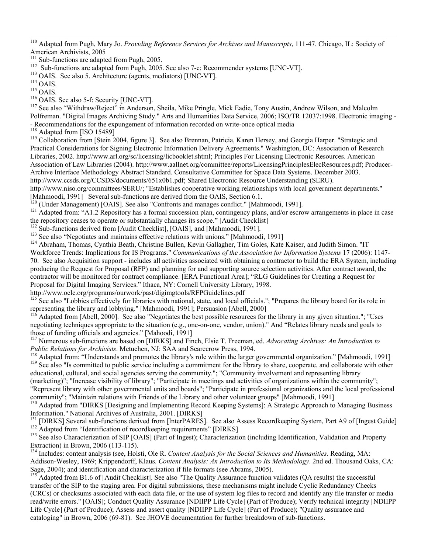110 Adapted from Pugh, Mary Jo. *Providing Reference Services for Archives and Manuscripts*, 111-47. Chicago, IL: Society of American Archivists, 2005<br><sup>111</sup> Sub-functions are adapted from Pugh, 2005.

<sup>112</sup> Sub-functions are adapted from Pugh, 2005. See also 7-c: Recommender systems [UNC-VT].<br><sup>113</sup> OAIS. See also 5. Architecture (agents, mediators) [UNC-VT].<br><sup>114</sup> OAIS.<br><sup>116</sup> OAIS. See also 5-f: Security [UNC-VT].<br><sup>116</sup> Polfreman. "Digital Images Archiving Study." Arts and Humanities Data Service, 2006; ISO/TR 12037:1998. Electronic imaging - - Recommendations for the expungement of information recorded on write-once optical media<br><sup>118</sup> Adapted from [ISO 15489]<br><sup>119</sup> Collaboration from [Stein 2004, figure 3]. See also Brennan, Patricia, Karen Hersey, and Georgi

Practical Considerations for Signing Electronic Information Delivery Agreements." Washington, DC: Association of Research Libraries, 2002. http://www.arl.org/sc/licensing/licbooklet.shtml; Principles For Licensing Electronic Resources. American Association of Law Libraries (2004). http://www.aallnet.org/committee/reports/LicensingPrinciplesElecResources.pdf; Producer-Archive Interface Methodology Abstract Standard. Consultative Committee for Space Data Systems. December 2003.

http://www.ccsds.org/CCSDS/documents/651x0b1.pdf; Shared Electronic Resource Understanding (SERU).

http://www.niso.org/committees/SERU/; "Establishes cooperative working relationships with local government departments." [Mahmoodi, 1991] Several sub-functions are derived from the OAIS, Section 6.1.<br><sup>[20</sup>] (Under Management) [OAIS]. See also "Confronts and manages conflict." [Mahmoodi, 1991].

<sup>121</sup> Adapted from: "A1.2 Repository has a formal succession plan, contingency plans, and/or escrow arrangements in place in case the repository ceases to operate or substantially changes its scope." [Audit Checklist]

<sup>122</sup> Sub-functions derived from [Audit Checklist], [OAIS], and [Mahmoodi, 1991].<br><sup>123</sup> See also "Negotiates and maintains effective relations with unions." [Mahmoodi, 1991]<br><sup>124</sup> Abraham, Thomas, Cynthia Beath, Christine Workforce Trends: Implications for IS Programs." *Communications of the Association for Information Systems* 17 (2006): 1147- 70. See also Acquisition support - includes all activities associated with obtaining a contractor to build the ERA System, including producing the Request for Proposal (RFP) and planning for and supporting source selection activities. After contract award, the contractor will be monitored for contract compliance. [ERA Functional Area]; "RLG Guidelines for Creating a Request for Proposal for Digital Imaging Services." Ithaca, NY: Cornell University Library, 1998.<br>http://www.oclc.org/programs/ourwork/past/digimgtools/RFPGuidelines.pdf

 $h^{125}$  See also "Lobbies effectively for libraries with national, state, and local officials."; "Prepares the library board for its role in representing the library and lobbying." [Mahmoodi, 1991]; Persuasion [Abell, 2000]

 $126$  Adapted from [Abell, 2000]. See also "Negotiates the best possible resources for the library in any given situation."; "Uses negotiating techniques appropriate to the situation (e.g., one-on-one, vendor, union)." And "Relates library needs and goals to those of funding officials and agencies." [Mahoodi, 1991]<br><sup>127</sup> Numerous sub-functions are based on [DIRKS] and Finch, Elsie T. Freeman, ed. *Advocating Archives: An Introduction to* 

*Public Relations for Archivists*. Metuchen, NJ: SAA and Scarecrow Press, 1994.<br><sup>128</sup> Adapted from: "Understands and promotes the library's role within the larger governmental organization." [Mahmoodi, 1991]<br><sup>129</sup> See also educational, cultural, and social agencies serving the community."; "Community involvement and representing library

(marketing)"; "Increase visibility of library"; "Participate in meetings and activities of organizations within the community"; "Represent library with other governmental units and boards"; "Participate in professional organizations and the local professional community"; "Maintain relations with Friends of the Library and other volunteer groups" [Mahmoodi, 1991]

<sup>130</sup> Adapted from "DIRKS [Designing and Implementing Record Keeping Systems]: A Strategic Approach to Managing Business Information." National Archives of Australia, 2001. [DIRKS]

<sup>131</sup> [DIRKS] Several sub-functions derived from [InterPARES]. See also Assess Recordkeeping System, Part A9 of [Ingest Guide] Adapted from "Identification of recordkeeping requirements" [DIRKS]<br><sup>132</sup> Adapted from "Identif

Extraction) in Brown, 2006 (113-115).

134 Includes: content analysis (see, Holsti, Ole R. *Content Analysis for the Social Sciences and Humanities*. Reading, MA: Addison-Wesley, 1969; Krippendorff, Klaus. *Content Analysis: An Introduction to Its Methodology*. 2nd ed. Thousand Oaks, CA:

 $^{135}$  Adapted from B1.6 of [Audit Checklist]. See also "The Quality Assurance function validates (QA results) the successful transfer of the SIP to the staging area. For digital submissions, these mechanisms might include Cyclic Redundancy Checks (CRCs) or checksums associated with each data file, or the use of system log files to record and identify any file transfer or media read/write errors." [OAIS]; Conduct Quality Assurance [NDIIPP Life Cycle] (Part of Produce); Verify technical integrity [NDIIPP Life Cycle] (Part of Produce); Assess and assert quality [NDIIPP Life Cycle] (Part of Produce); "Quality assurance and cataloging" in Brown, 2006 (69-81). See JHOVE documentation for further breakdown of sub-functions.